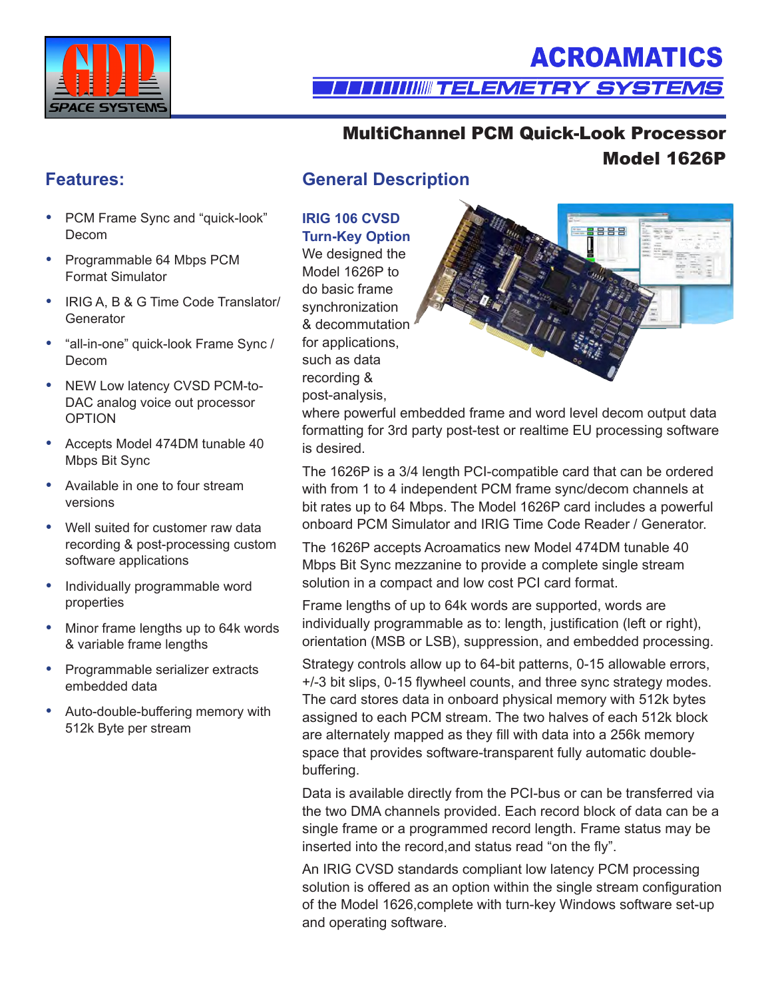

# **ACROAMATICS**

### **TELLI IIIIIIIIII TELEMETRY SYSTEMS**

### MultiChannel PCM Quick-Look Processor Model 1626P

- PCM Frame Sync and "quick-look" Decom
- Programmable 64 Mbps PCM Format Simulator
- IRIG A, B & G Time Code Translator/ **Generator**
- y "all-in-one" quick-look Frame Sync / Decom
- NEW Low latency CVSD PCM-to-DAC analog voice out processor OPTION
- Accepts Model 474DM tunable 40 Mbps Bit Sync
- Available in one to four stream versions
- Well suited for customer raw data recording & post-processing custom software applications
- Individually programmable word properties
- Minor frame lengths up to 64k words & variable frame lengths
- Programmable serializer extracts embedded data
- Auto-double-buffering memory with 512k Byte per stream

### **Features: General Description**

### **IRIG 106 CVSD Turn-Key Option**

We designed the Model 1626P to do basic frame synchronization & decommutation for applications, such as data recording & post-analysis,



where powerful embedded frame and word level decom output data formatting for 3rd party post-test or realtime EU processing software is desired.

The 1626P is a 3/4 length PCI-compatible card that can be ordered with from 1 to 4 independent PCM frame sync/decom channels at bit rates up to 64 Mbps. The Model 1626P card includes a powerful onboard PCM Simulator and IRIG Time Code Reader / Generator.

The 1626P accepts Acroamatics new Model 474DM tunable 40 Mbps Bit Sync mezzanine to provide a complete single stream solution in a compact and low cost PCI card format.

Frame lengths of up to 64k words are supported, words are individually programmable as to: length, justification (left or right), orientation (MSB or LSB), suppression, and embedded processing.

Strategy controls allow up to 64-bit patterns, 0-15 allowable errors, +/-3 bit slips, 0-15 flywheel counts, and three sync strategy modes. The card stores data in onboard physical memory with 512k bytes assigned to each PCM stream. The two halves of each 512k block are alternately mapped as they fill with data into a 256k memory space that provides software-transparent fully automatic doublebuffering.

Data is available directly from the PCI-bus or can be transferred via the two DMA channels provided. Each record block of data can be a single frame or a programmed record length. Frame status may be inserted into the record,and status read "on the fly".

An IRIG CVSD standards compliant low latency PCM processing solution is offered as an option within the single stream configuration of the Model 1626,complete with turn-key Windows software set-up and operating software.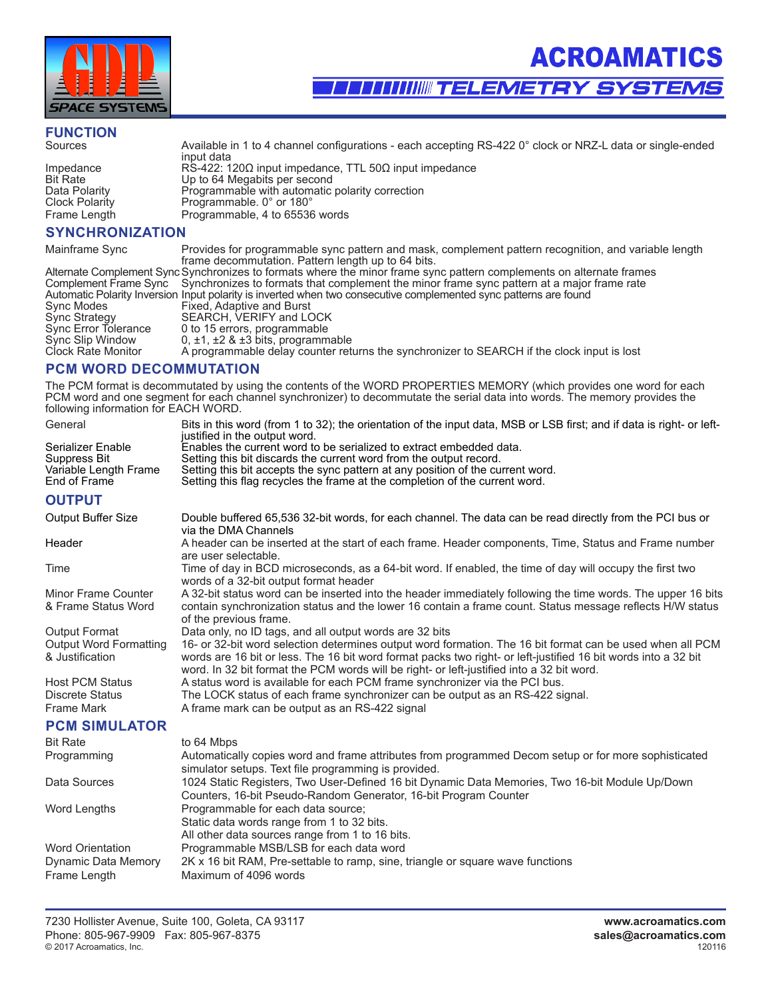

## **FUNCTION**

Impedance RS-422: 120Ω input impedance, TTL 50Ω input impedance Bit Rate Up to 64 Megabits per second Bit Rate Up to 64 Megabits per second<br>
Data Polarity Programmable with automatic Data Polarity Programmable with automatic polarity correction<br>Clock Polarity Programmable. 0° or 180° Frame Length Programmable, 4 to 65536 words

#### **SYNCHRONIZATION**

Mainframe Sync Provides for programmable sync pattern and mask, complement pattern recognition, and variable length frame decommutation. Pattern length up to 64 bits.

Available in 1 to 4 channel configurations - each accepting RS-422 0° clock or NRZ-L data or single-ended

|                      | $\frac{1}{2}$ indirection introduced in the condition of $\frac{1}{2}$ in the condition of $\frac{1}{2}$             |
|----------------------|----------------------------------------------------------------------------------------------------------------------|
|                      | Alternate Complement Sync Synchronizes to formats where the minor frame sync pattern complements on alternate frames |
|                      | Complement Frame Sync Synchronizes to formats that complement the minor frame sync pattern at a major frame rate     |
|                      | Automatic Polarity Inversion Input polarity is inverted when two consecutive complemented sync patterns are found    |
| Sync Modes           | Fixed, Adaptive and Burst                                                                                            |
| <b>Sync Strategy</b> | SEARCH, VERIFY and LOCK                                                                                              |
| Sync Error Tolerance | 0 to 15 errors, programmable                                                                                         |
| Sync Slip Window     | 0, $\pm$ 1, $\pm$ 2 & $\pm$ 3 bits, programmable                                                                     |
| Clock Rate Monitor   | A programmable delay counter returns the synchronizer to SEARCH if the clock input is lost                           |
|                      |                                                                                                                      |

#### **PCM WORD DECOMMUTATION**

input data

Programmable. 0° or 180°

The PCM format is decommutated by using the contents of the WORD PROPERTIES MEMORY (which provides one word for each PCM word and one segment for each channel synchronizer) to decommutate the serial data into words. The memory provides the following information for EACH WORD.

| General                       | Bits in this word (from 1 to 32); the orientation of the input data, MSB or LSB first; and if data is right- or left-<br>justified in the output word.                                                      |
|-------------------------------|-------------------------------------------------------------------------------------------------------------------------------------------------------------------------------------------------------------|
| Serializer Enable             | Enables the current word to be serialized to extract embedded data.                                                                                                                                         |
| Suppress Bit                  | Setting this bit discards the current word from the output record.                                                                                                                                          |
| Variable Length Frame         | Setting this bit accepts the sync pattern at any position of the current word.                                                                                                                              |
| End of Frame                  | Setting this flag recycles the frame at the completion of the current word.                                                                                                                                 |
| <b>OUTPUT</b>                 |                                                                                                                                                                                                             |
| Output Buffer Size            | Double buffered 65,536 32-bit words, for each channel. The data can be read directly from the PCI bus or<br>via the DMA Channels                                                                            |
| Header                        | A header can be inserted at the start of each frame. Header components, Time, Status and Frame number<br>are user selectable.                                                                               |
| Time                          | Time of day in BCD microseconds, as a 64-bit word. If enabled, the time of day will occupy the first two<br>words of a 32-bit output format header                                                          |
| <b>Minor Frame Counter</b>    | A 32-bit status word can be inserted into the header immediately following the time words. The upper 16 bits                                                                                                |
| & Frame Status Word           | contain synchronization status and the lower 16 contain a frame count. Status message reflects H/W status<br>of the previous frame.                                                                         |
| <b>Output Format</b>          | Data only, no ID tags, and all output words are 32 bits                                                                                                                                                     |
| <b>Output Word Formatting</b> | 16- or 32-bit word selection determines output word formation. The 16 bit format can be used when all PCM                                                                                                   |
| & Justification               | words are 16 bit or less. The 16 bit word format packs two right- or left-justified 16 bit words into a 32 bit<br>word. In 32 bit format the PCM words will be right- or left-justified into a 32 bit word. |
| <b>Host PCM Status</b>        | A status word is available for each PCM frame synchronizer via the PCI bus.                                                                                                                                 |
| <b>Discrete Status</b>        | The LOCK status of each frame synchronizer can be output as an RS-422 signal.                                                                                                                               |
| <b>Frame Mark</b>             | A frame mark can be output as an RS-422 signal                                                                                                                                                              |
| <b>PCM SIMULATOR</b>          |                                                                                                                                                                                                             |
| <b>Bit Rate</b>               | to 64 Mbps                                                                                                                                                                                                  |
| Programming                   | Automatically copies word and frame attributes from programmed Decom setup or for more sophisticated<br>simulator setups. Text file programming is provided.                                                |
| Data Sources                  | 1024 Static Registers, Two User-Defined 16 bit Dynamic Data Memories, Two 16-bit Module Up/Down<br>Counters, 16-bit Pseudo-Random Generator, 16-bit Program Counter                                         |
| Word Lengths                  | Programmable for each data source;<br>Static data words range from 1 to 32 bits.<br>All other data sources range from 1 to 16 bits.                                                                         |
| <b>Word Orientation</b>       | Programmable MSB/LSB for each data word                                                                                                                                                                     |
| Dynamic Data Memory           | 2K x 16 bit RAM, Pre-settable to ramp, sine, triangle or square wave functions                                                                                                                              |
| Frame Length                  | Maximum of 4096 words                                                                                                                                                                                       |
|                               |                                                                                                                                                                                                             |